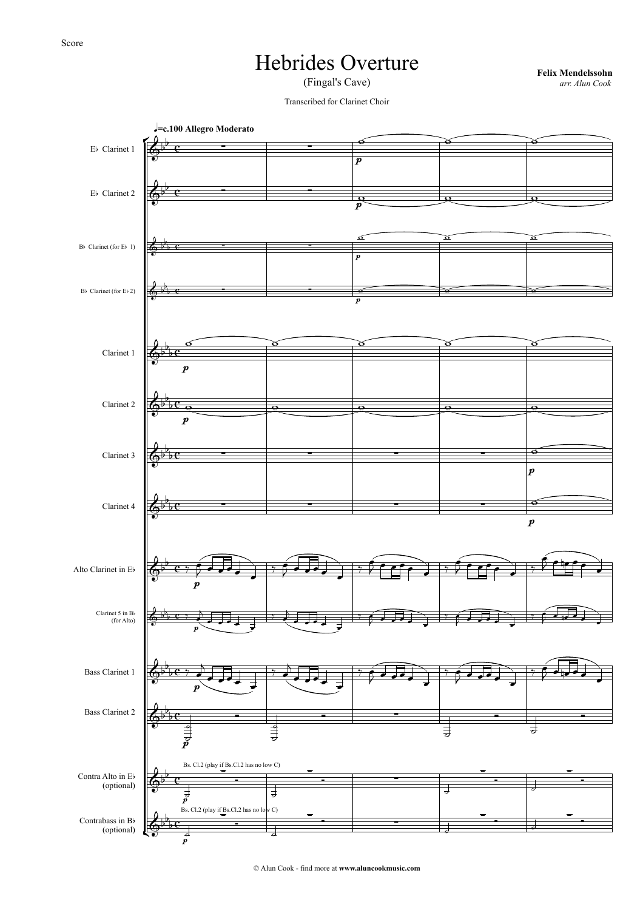Score

## Hebrides Overture

(Fingal's Cave)

**Felix Mendelssohn** *arr. Alun Cook*

Transcribed for Clarinet Choir



© Alun Cook - find more at **www.aluncookmusic.com**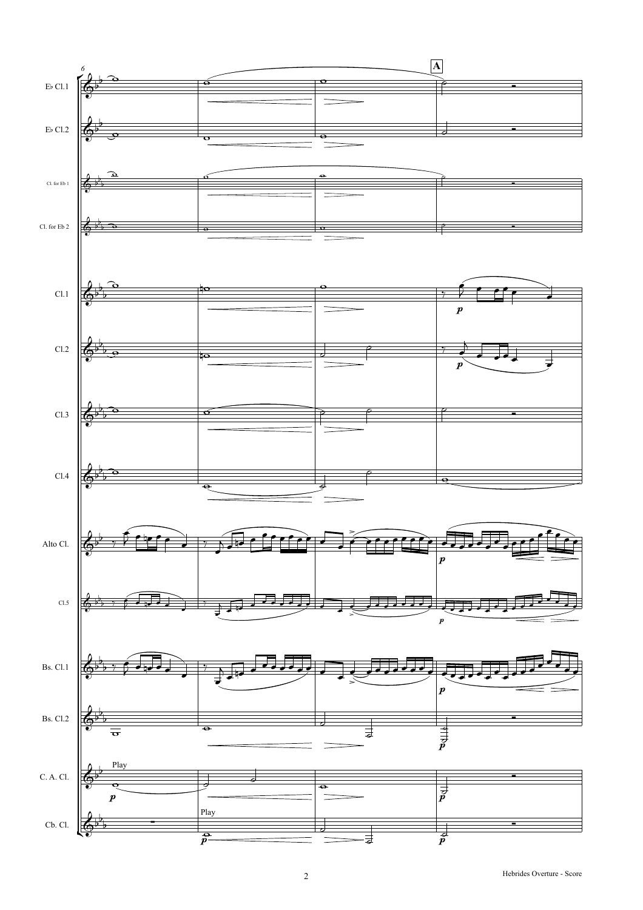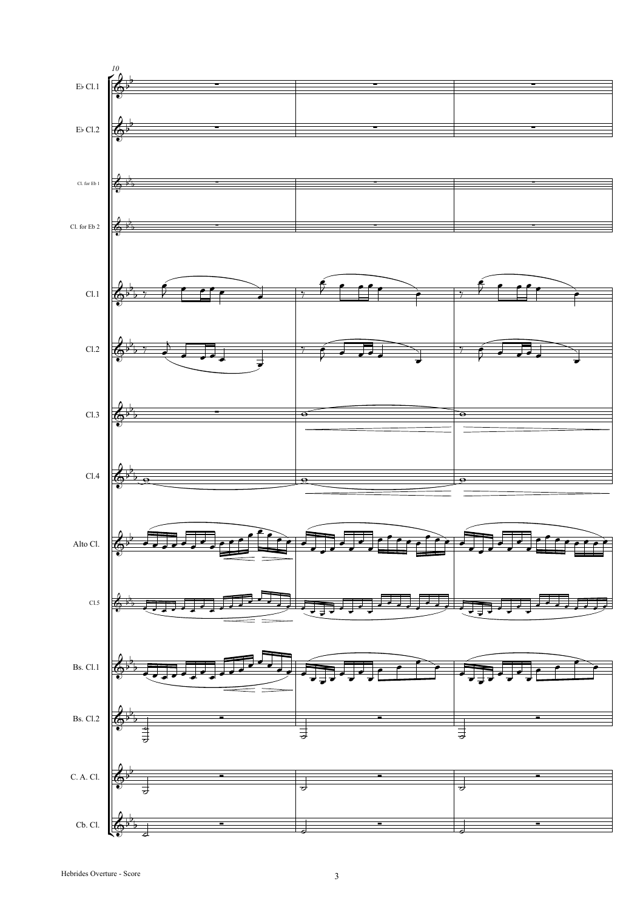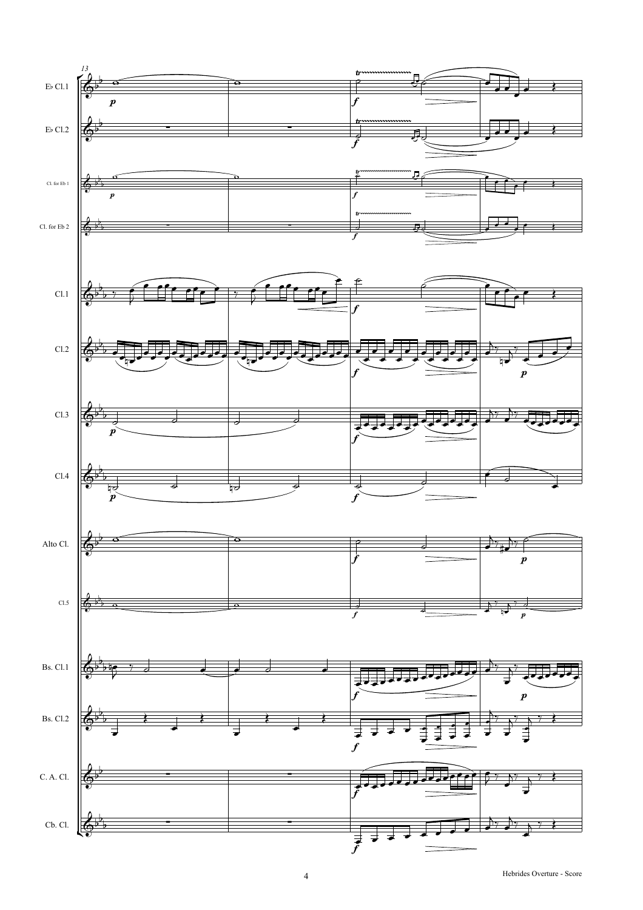